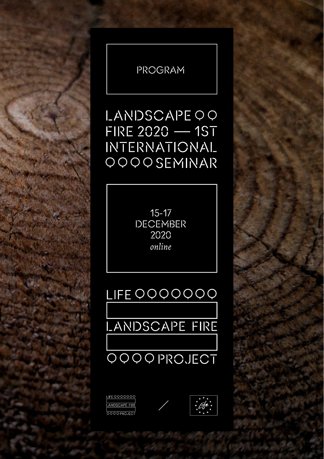

PROGRAM

15-17 DECEMBER 2020 *online*

## LIFE QQQQQQQ





# **LANDSCAPE FIRE**



LIFE 0000000 <u>LANDSCAPE FIRE</u> **DOOOPROJECT** 

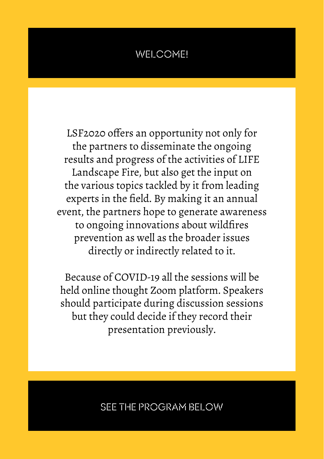## WELCOME!

LSF2020 offers an opportunity not only for the partners to disseminate the ongoing results and progress of the activities of LIFE Landscape Fire, but also get the input on the various topics tackled by it from leading experts in the field. By making it an annual event, the partners hope to generate awareness to ongoing innovations about wildfires prevention as well as the broader issues directly or indirectly related to it.

Because of COVID-19 all the sessions will be held online thought Zoom platform. Speakers should participate during discussion sessions but they could decide if they record their presentation previously.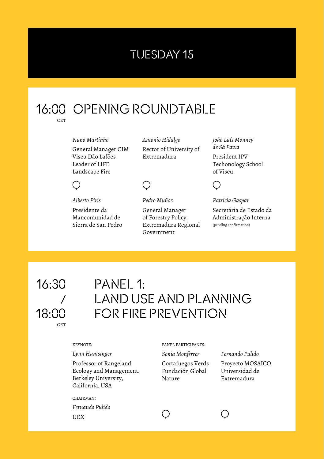## TUESDAY 15

#### 16:00 OPENING ROUNDTABLE  $CFT$

*Nuno Martinho* General Manager CIM Viseu Dão Lafões Leader of LIFE Landscape Fire

*Antonio Hidalgo* Rector of University of Extremadura

*João Luís Monney de Sá Paiva* President IPV Techonology School of Viseu



*Patrícia Gaspar*

Secretária de Estado da Administração Interna (pending confirmation)

#### *Alberto Piris*

( )

Presidente da Mancomunidad de Sierra de San Pedro *Pedro Muñoz* General Manager of Forestry Policy. Extremadura Regional Government

### 16:30 / 18:00CET

## PANEL 1: LAND USE AND PLANNING FOR FIRE PREVENTION

#### keynote:

*Lynn Huntsinger*

Professor of Rangeland Ecology and Management. Berkeley University, California, USA

chairman: *Fernando Pulido* UEX

panel participants:

*Sonia Monferrer* Cortafuegos Verds Fundación Global Nature

*Fernando Pulido* Proyecto MOSAICO Universidad de Extremadura

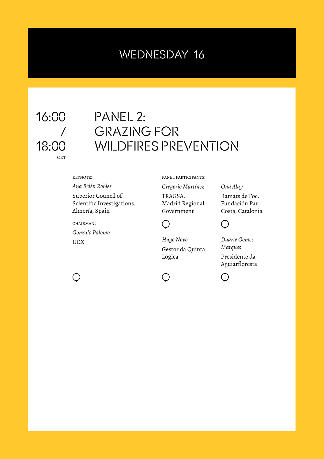## WEDNESDAY 16



## PANEL 2: GRAZING FOR WILDFIRES PREVENTION

#### keynote:

#### *Ana Belén Robles*

Superior Council of Scientific Investigations. Almería, Spain

chairman:

( )

*Gonzalo Palomo* UEX

panel participants:

*Gregorio Martínez*

TRAGSA. Madrid Regional Government



*Hugo Novo* Gestor da Quinta Lógica

*Ona Alay* Ramats de Foc.

Fundación Pau Costa, Catalonia



*Duarte Gomes Marques* Presidente da Aguiarfloresta



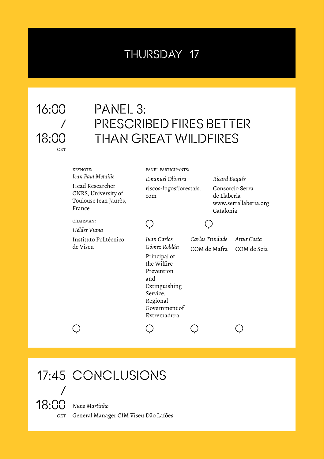## THURSDAY 17

/ 18:00CET

## PANEL 3: 16:00 PRESCRIBED FIRES BETTER THAN GREAT WILDFIRES

| KEYNOTE:                                                                  | PANEL PARTICIPANTS:                                                                                                                                      |  |                                                                      |                            |  |
|---------------------------------------------------------------------------|----------------------------------------------------------------------------------------------------------------------------------------------------------|--|----------------------------------------------------------------------|----------------------------|--|
| Jean Paul Metailie                                                        | Emanuel Oliveira                                                                                                                                         |  | Ricard Baqués                                                        |                            |  |
| Head Researcher<br>CNRS, University of<br>Toulouse Jean Jaurès,<br>France | riscos-fogosflorestais.<br>com                                                                                                                           |  | Consorcio Serra<br>de Llaberia<br>www.serrallaberia.org<br>Catalonia |                            |  |
| CHAIRMAN:                                                                 |                                                                                                                                                          |  |                                                                      |                            |  |
| Hélder Viana                                                              |                                                                                                                                                          |  |                                                                      |                            |  |
| Instituto Politécnico<br>de Viseu                                         | Juan Carlos<br>Gómez Roldán<br>Principal of<br>the Wilfire<br>Prevention<br>and<br>Extinguishing<br>Service.<br>Regional<br>Government of<br>Extremadura |  | Carlos Trindade<br>COM de Mafra                                      | Artur Costa<br>COM de Seia |  |
|                                                                           |                                                                                                                                                          |  |                                                                      |                            |  |

## 17:45 CONCLUSIONS /

18:00*Nuno Martinho* CET General Manager CIM Viseu Dão Lafões